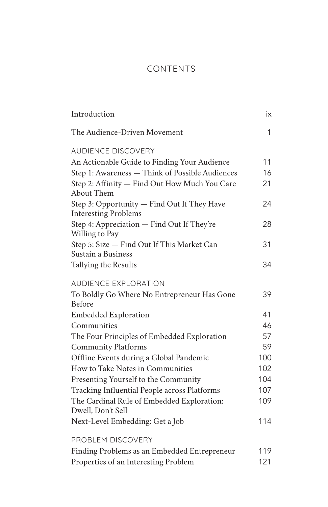## CONTENTS

| Introduction                                                               | iх  |
|----------------------------------------------------------------------------|-----|
| The Audience-Driven Movement                                               | 1   |
| <b>AUDIENCE DISCOVERY</b>                                                  |     |
| An Actionable Guide to Finding Your Audience                               | 11  |
| Step 1: Awareness - Think of Possible Audiences                            | 16  |
| Step 2: Affinity - Find Out How Much You Care<br>About Them                | 21  |
| Step 3: Opportunity - Find Out If They Have<br><b>Interesting Problems</b> | 24  |
| Step 4: Appreciation - Find Out If They're<br>Willing to Pay               | 28  |
| Step 5: Size - Find Out If This Market Can<br>Sustain a Business           | 31  |
| Tallying the Results                                                       | 34  |
| <b>AUDIENCE EXPLORATION</b>                                                |     |
| To Boldly Go Where No Entrepreneur Has Gone<br>Before                      | 39  |
| Embedded Exploration                                                       | 41  |
| Communities                                                                | 46  |
| The Four Principles of Embedded Exploration                                | 57  |
| <b>Community Platforms</b>                                                 | 59  |
| Offline Events during a Global Pandemic                                    | 100 |
| How to Take Notes in Communities                                           | 102 |
| Presenting Yourself to the Community                                       | 104 |
| Tracking Influential People across Platforms                               | 107 |
| The Cardinal Rule of Embedded Exploration:<br>Dwell, Don't Sell            | 109 |
| Next-Level Embedding: Get a Job                                            | 114 |
| PROBLEM DISCOVERY                                                          |     |
| Finding Problems as an Embedded Entrepreneur                               | 119 |
| Properties of an Interesting Problem                                       | 121 |